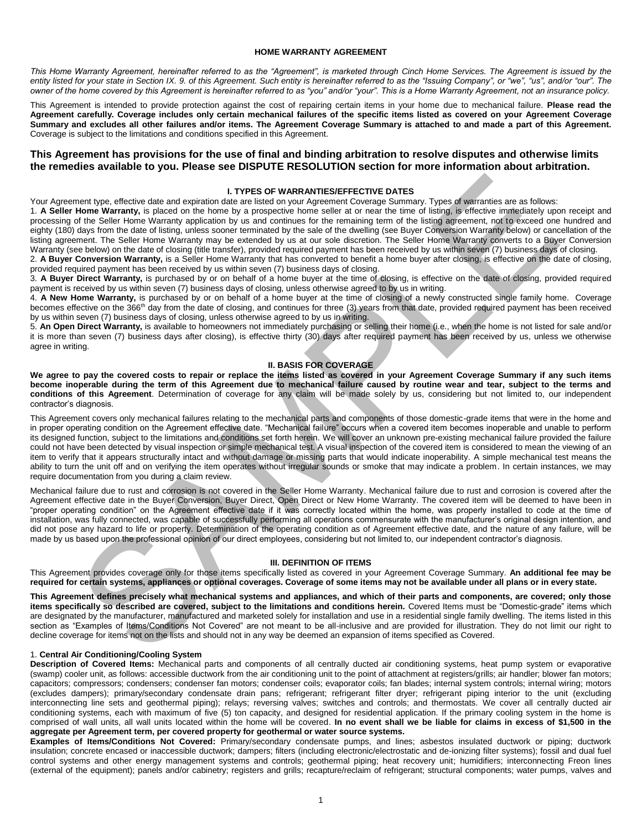#### **HOME WARRANTY AGREEMENT**

*This Home Warranty Agreement, hereinafter referred to as the "Agreement", is marketed through Cinch Home Services. The Agreement is issued by the*  entity listed for your state in Section IX. 9. of this Agreement. Such entity is hereinafter referred to as the "Issuing Company", or "we", "us", and/or "our". The *owner of the home covered by this Agreement is hereinafter referred to as "you" and/or "your". This is a Home Warranty Agreement, not an insurance policy.* 

This Agreement is intended to provide protection against the cost of repairing certain items in your home due to mechanical failure. **Please read the Agreement carefully. Coverage includes only certain mechanical failures of the specific items listed as covered on your Agreement Coverage Summary and excludes all other failures and/or items. The Agreement Coverage Summary is attached to and made a part of this Agreement.**  Coverage is subject to the limitations and conditions specified in this Agreement.

### **This Agreement has provisions for the use of final and binding arbitration to resolve disputes and otherwise limits the remedies available to you. Please see DISPUTE RESOLUTION section for more information about arbitration.**

#### **I. TYPES OF WARRANTIES/EFFECTIVE DATES**

Your Agreement type, effective date and expiration date are listed on your Agreement Coverage Summary. Types of warranties are as follows:

1. **A Seller Home Warranty,** is placed on the home by a prospective home seller at or near the time of listing, is effective immediately upon receipt and processing of the Seller Home Warranty application by us and continues for the remaining term of the listing agreement, not to exceed one hundred and eighty (180) days from the date of listing, unless sooner terminated by the sale of the dwelling (see Buyer Conversion Warranty below) or cancellation of the listing agreement. The Seller Home Warranty may be extended by us at our sole discretion. The Seller Home Warranty converts to a Buyer Conversion Warranty (see below) on the date of closing (title transfer), provided required payment has been received by us within seven (7) business days of closing.

2. **A Buyer Conversion Warranty,** is a Seller Home Warranty that has converted to benefit a home buyer after closing, is effective on the date of closing, provided required payment has been received by us within seven (7) business days of closing.

3. **A Buyer Direct Warranty,** is purchased by or on behalf of a home buyer at the time of closing, is effective on the date of closing, provided required payment is received by us within seven (7) business days of closing, unless otherwise agreed to by us in writing.

4. **A New Home Warranty,** is purchased by or on behalf of a home buyer at the time of closing of a newly constructed single family home. Coverage becomes effective on the 366<sup>th</sup> day from the date of closing, and continues for three (3) years from that date, provided required payment has been received by us within seven (7) business days of closing, unless otherwise agreed to by us in writing.

5. **An Open Direct Warranty,** is available to homeowners not immediately purchasing or selling their home (i.e., when the home is not listed for sale and/or it is more than seven (7) business days after closing), is effective thirty (30) days after required payment has been received by us, unless we otherwise agree in writing.

#### **II. BASIS FOR COVERAGE**

**We agree to pay the covered costs to repair or replace the items listed as covered in your Agreement Coverage Summary if any such items become inoperable during the term of this Agreement due to mechanical failure caused by routine wear and tear, subject to the terms and conditions of this Agreement**. Determination of coverage for any claim will be made solely by us, considering but not limited to, our independent contractor's diagnosis.

ment type. sites we determine the consense of the RAMPLES are recorded to the system of the system site of the system section of the system of the system section of the system section of the system section of the system se This Agreement covers only mechanical failures relating to the mechanical parts and components of those domestic-grade items that were in the home and in proper operating condition on the Agreement effective date. "Mechanical failure" occurs when a covered item becomes inoperable and unable to perform its designed function, subject to the limitations and conditions set forth herein. We will cover an unknown pre-existing mechanical failure provided the failure could not have been detected by visual inspection or simple mechanical test. A visual inspection of the covered item is considered to mean the viewing of an item to verify that it appears structurally intact and without damage or missing parts that would indicate inoperability. A simple mechanical test means the ability to turn the unit off and on verifying the item operates without irregular sounds or smoke that may indicate a problem. In certain instances, we may require documentation from you during a claim review.

Mechanical failure due to rust and corrosion is not covered in the Seller Home Warranty. Mechanical failure due to rust and corrosion is covered after the Agreement effective date in the Buyer Conversion, Buyer Direct, Open Direct or New Home Warranty. The covered item will be deemed to have been in "proper operating condition" on the Agreement effective date if it was correctly located within the home, was properly installed to code at the time of installation, was fully connected, was capable of successfully performing all operations commensurate with the manufacturer's original design intention, and did not pose any hazard to life or property. Determination of the operating condition as of Agreement effective date, and the nature of any failure, will be made by us based upon the professional opinion of our direct employees, considering but not limited to, our independent contractor's diagnosis.

#### **III. DEFINITION OF ITEMS**

This Agreement provides coverage only for those items specifically listed as covered in your Agreement Coverage Summary. **An additional fee may be required for certain systems, appliances or optional coverages. Coverage of some items may not be available under all plans or in every state.**

**This Agreement defines precisely what mechanical systems and appliances, and which of their parts and components, are covered; only those items specifically so described are covered, subject to the limitations and conditions herein.** Covered Items must be "Domestic-grade" items which are designated by the manufacturer, manufactured and marketed solely for installation and use in a residential single family dwelling. The items listed in this section as "Examples of Items/Conditions Not Covered" are not meant to be all-inclusive and are provided for illustration. They do not limit our right to decline coverage for items not on the lists and should not in any way be deemed an expansion of items specified as Covered.

#### 1. **Central Air Conditioning/Cooling System**

**Description of Covered Items:** Mechanical parts and components of all centrally ducted air conditioning systems, heat pump system or evaporative (swamp) cooler unit, as follows: accessible ductwork from the air conditioning unit to the point of attachment at registers/grills; air handler; blower fan motors; capacitors; compressors; condensers; condenser fan motors; condenser coils; evaporator coils; fan blades; internal system controls; internal wiring; motors (excludes dampers); primary/secondary condensate drain pans; refrigerant; refrigerant filter dryer; refrigerant piping interior to the unit (excluding interconnecting line sets and geothermal piping); relays; reversing valves; switches and controls; and thermostats. We cover all centrally ducted air conditioning systems, each with maximum of five (5) ton capacity, and designed for residential application. If the primary cooling system in the home is comprised of wall units, all wall units located within the home will be covered. **In no event shall we be liable for claims in excess of \$1,500 in the aggregate per Agreement term, per covered property for geothermal or water source systems.**

**Examples of Items/Conditions Not Covered:** Primary/secondary condensate pumps, and lines; asbestos insulated ductwork or piping; ductwork insulation; concrete encased or inaccessible ductwork; dampers; filters (including electronic/electrostatic and de-ionizing filter systems); fossil and dual fuel control systems and other energy management systems and controls; geothermal piping; heat recovery unit; humidifiers; interconnecting Freon lines (external of the equipment); panels and/or cabinetry; registers and grills; recapture/reclaim of refrigerant; structural components; water pumps, valves and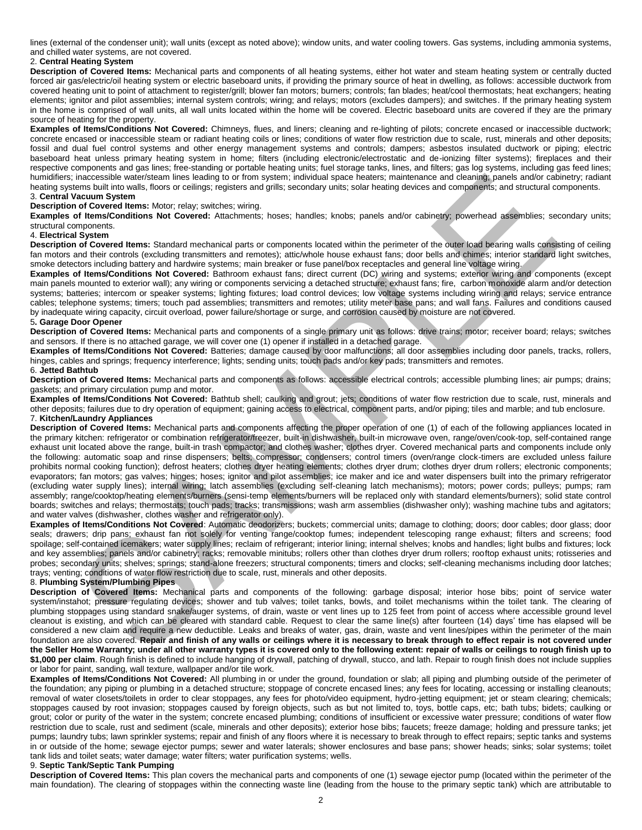lines (external of the condenser unit); wall units (except as noted above); window units, and water cooling towers. Gas systems, including ammonia systems, and chilled water systems, are not covered.

#### 2. **Central Heating System**

**Description of Covered Items:** Mechanical parts and components of all heating systems, either hot water and steam heating system or centrally ducted forced air gas/electric/oil heating system or electric baseboard units, if providing the primary source of heat in dwelling, as follows: accessible ductwork from covered heating unit to point of attachment to register/grill; blower fan motors; burners; controls; fan blades; heat/cool thermostats; heat exchangers; heating elements; ignitor and pilot assemblies; internal system controls; wiring; and relays; motors (excludes dampers); and switches. If the primary heating system in the home is comprised of wall units, all wall units located within the home will be covered. Electric baseboard units are covered if they are the primary source of heating for the property.

**Examples of Items/Conditions Not Covered:** Chimneys, flues, and liners; cleaning and re-lighting of pilots; concrete encased or inaccessible ductwork; concrete encased or inaccessible steam or radiant heating coils or lines; conditions of water flow restriction due to scale, rust, minerals and other deposits; fossil and dual fuel control systems and other energy management systems and controls; dampers; asbestos insulated ductwork or piping; electric baseboard heat unless primary heating system in home; filters (including electronic/electrostatic and de-ionizing filter systems); fireplaces and their respective components and gas lines; free-standing or portable heating units; fuel storage tanks, lines, and filters; gas log systems, including gas feed lines; humidifiers; inaccessible water/steam lines leading to or from system; individual space heaters; maintenance and cleaning; panels and/or cabinetry; radiant heating systems built into walls, floors or ceilings; registers and grills; secondary units; solar heating devices and components; and structural components. 3. **Central Vacuum System** 

#### **Description of Covered Items:** Motor; relay; switches; wiring.

**Examples of Items/Conditions Not Covered:** Attachments; hoses; handles; knobs; panels and/or cabinetry; powerhead assemblies; secondary units; structural components.

#### 4. **Electrical System**

**Description of Covered Items:** Standard mechanical parts or components located within the perimeter of the outer load bearing walls consisting of ceiling fan motors and their controls (excluding transmitters and remotes); attic/whole house exhaust fans; door bells and chimes; interior standard light switches, smoke detectors including battery and hardwire systems; main breaker or fuse panel/box receptacles and general line voltage wiring.

**Examples of Items/Conditions Not Covered:** Bathroom exhaust fans; direct current (DC) wiring and systems; exterior wiring and components (except main panels mounted to exterior wall); any wiring or components servicing a detached structure; exhaust fans; fire, carbon monoxide alarm and/or detection systems; batteries; intercom or speaker systems; lighting fixtures; load control devices; low voltage systems including wiring and relays; service entrance cables; telephone systems; timers; touch pad assemblies; transmitters and remotes; utility meter base pans; and wall fans. Failures and conditions caused by inadequate wiring capacity, circuit overload, power failure/shortage or surge, and corrosion caused by moisture are not covered.

#### 5**. Garage Door Opener**

**Description of Covered Items:** Mechanical parts and components of a single primary unit as follows: drive trains; motor; receiver board; relays; switches and sensors. If there is no attached garage, we will cover one (1) opener if installed in a detached garage.

**Examples of Items/Conditions Not Covered:** Batteries; damage caused by door malfunctions; all door assemblies including door panels, tracks, rollers, hinges, cables and springs; frequency interference; lights; sending units; touch pads and/or key pads; transmitters and remotes.

# 6. **Jetted Bathtub**

**Description of Covered Items:** Mechanical parts and components as follows: accessible electrical controls; accessible plumbing lines; air pumps; drains; gaskets; and primary circulation pump and motor.

**Examples of Items/Conditions Not Covered:** Bathtub shell; caulking and grout; jets; conditions of water flow restriction due to scale, rust, minerals and other deposits; failures due to dry operation of equipment; gaining access to electrical, component parts, and/or piping; tiles and marble; and tub enclosure. 7. **Kitchen/Laundry Appliances** 

indicensible week took control and the form system, include latents, make heath; make the medicinal function and including function and including function and including function and including function and including includi **Description of Covered Items:** Mechanical parts and components affecting the proper operation of one (1) of each of the following appliances located in the primary kitchen: refrigerator or combination refrigerator/freezer, built-in dishwasher, built-in microwave oven, range/oven/cook-top, self-contained range exhaust unit located above the range, built-in trash compactor; and clothes washer; clothes dryer. Covered mechanical parts and components include only the following: automatic soap and rinse dispensers; belts; compressor; condensers; control timers (oven/range clock-timers are excluded unless failure prohibits normal cooking function); defrost heaters; clothes dryer heating elements; clothes dryer drum; clothes dryer drum rollers; electronic components; evaporators; fan motors; gas valves; hinges; hoses; ignitor and pilot assemblies; ice maker and ice and water dispensers built into the primary refrigerator (excluding water supply lines); internal wiring; latch assemblies (excluding self-cleaning latch mechanisms); motors; power cords; pulleys; pumps; ram assembly; range/cooktop/heating elements/burners (sensi-temp elements/burners will be replaced only with standard elements/burners); solid state control boards; switches and relays; thermostats; touch pads; tracks; transmissions; wash arm assemblies (dishwasher only); washing machine tubs and agitators; and water valves (dishwasher, clothes washer and refrigerator only).

**Examples of Items/Conditions Not Covered**: Automatic deodorizers; buckets; commercial units; damage to clothing; doors; door cables; door glass; door seals; drawers; drip pans; exhaust fan not solely for venting range/cooktop fumes; independent telescoping range exhaust; filters and screens; food spoilage; self-contained icemakers; water supply lines; reclaim of refrigerant; interior lining; internal shelves; knobs and handles; light bulbs and fixtures; lock and key assemblies; panels and/or cabinetry; racks; removable minitubs; rollers other than clothes dryer drum rollers; rooftop exhaust units; rotisseries and probes; secondary units; shelves; springs; stand-alone freezers; structural components; timers and clocks; self-cleaning mechanisms including door latches; trays; venting; conditions of water flow restriction due to scale, rust, minerals and other deposits.

#### 8. **Plumbing System/Plumbing Pipes**

**Description of Covered Items:** Mechanical parts and components of the following: garbage disposal; interior hose bibs; point of service water system/instahot; pressure regulating devices; shower and tub valves; toilet tanks, bowls, and toilet mechanisms within the toilet tank. The clearing of plumbing stoppages using standard snake/auger systems, of drain, waste or vent lines up to 125 feet from point of access where accessible ground level cleanout is existing, and which can be cleared with standard cable. Request to clear the same line(s) after fourteen (14) days' time has elapsed will be considered a new claim and require a new deductible. Leaks and breaks of water, gas, drain, waste and vent lines/pipes within the perimeter of the main foundation are also covered. **Repair and finish of any walls or ceilings where it is necessary to break through to effect repair is not covered under the Seller Home Warranty; under all other warranty types it is covered only to the following extent: repair of walls or ceilings to rough finish up to \$1,000 per claim**. Rough finish is defined to include hanging of drywall, patching of drywall, stucco, and lath. Repair to rough finish does not include supplies or labor for paint, sanding, wall texture, wallpaper and/or tile work.

**Examples of Items/Conditions Not Covered:** All plumbing in or under the ground, foundation or slab; all piping and plumbing outside of the perimeter of the foundation; any piping or plumbing in a detached structure; stoppage of concrete encased lines; any fees for locating, accessing or installing cleanouts; removal of water closets/toilets in order to clear stoppages, any fees for photo/video equipment, hydro-jetting equipment; jet or steam clearing; chemicals; stoppages caused by root invasion; stoppages caused by foreign objects, such as but not limited to, toys, bottle caps, etc; bath tubs; bidets; caulking or grout; color or purity of the water in the system; concrete encased plumbing; conditions of insufficient or excessive water pressure; conditions of water flow restriction due to scale, rust and sediment (scale, minerals and other deposits); exterior hose bibs; faucets; freeze damage; holding and pressure tanks; jet pumps; laundry tubs; lawn sprinkler systems; repair and finish of any floors where it is necessary to break through to effect repairs; septic tanks and systems in or outside of the home; sewage ejector pumps; sewer and water laterals; shower enclosures and base pans; shower heads; sinks; solar systems; toilet tank lids and toilet seats; water damage; water filters; water purification systems; wells.

#### 9. **Septic Tank/Septic Tank Pumping**

**Description of Covered Items:** This plan covers the mechanical parts and components of one (1) sewage ejector pump (located within the perimeter of the main foundation). The clearing of stoppages within the connecting waste line (leading from the house to the primary septic tank) which are attributable to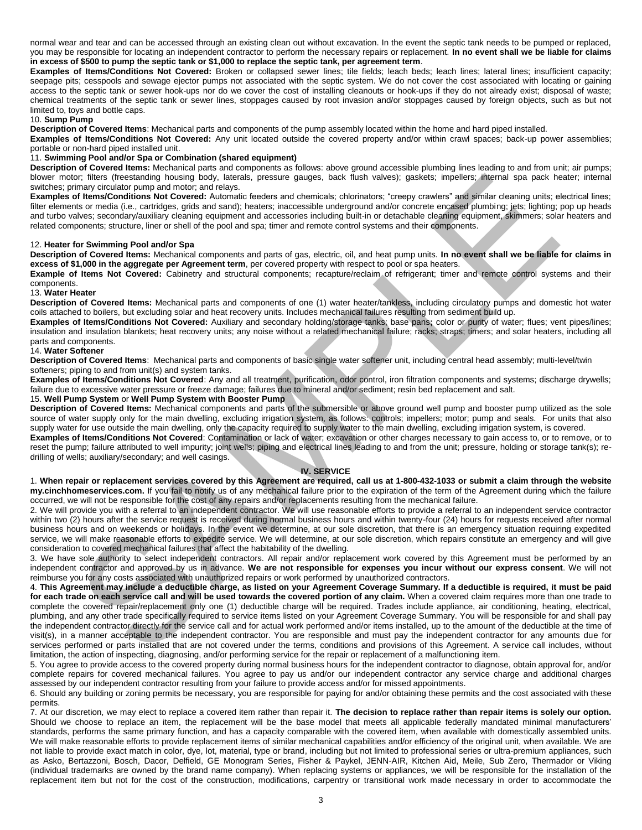normal wear and tear and can be accessed through an existing clean out without excavation. In the event the septic tank needs to be pumped or replaced, you may be responsible for locating an independent contractor to perform the necessary repairs or replacement. **In no event shall we be liable for claims in excess of \$500 to pump the septic tank or \$1,000 to replace the septic tank, per agreement term**.

**Examples of Items/Conditions Not Covered:** Broken or collapsed sewer lines; tile fields; leach beds; leach lines; lateral lines; insufficient capacity; seepage pits; cesspools and sewage ejector pumps not associated with the septic system. We do not cover the cost associated with locating or gaining access to the septic tank or sewer hook-ups nor do we cover the cost of installing cleanouts or hook-ups if they do not already exist; disposal of waste; chemical treatments of the septic tank or sewer lines, stoppages caused by root invasion and/or stoppages caused by foreign objects, such as but not limited to, toys and bottle caps.

#### 10. **Sump Pump**

**Description of Covered Items**: Mechanical parts and components of the pump assembly located within the home and hard piped installed.

**Examples of Items/Conditions Not Covered:** Any unit located outside the covered property and/or within crawl spaces; back-up power assemblies; portable or non-hard piped installed unit.

#### 11. **Swimming Pool and/or Spa or Combination (shared equipment)**

**Description of Covered Items:** Mechanical parts and components as follows: above ground accessible plumbing lines leading to and from unit; air pumps; blower motor; filters (freestanding housing body, laterals, pressure gauges, back flush valves); gaskets; impellers; internal spa pack heater; internal switches; primary circulator pump and motor; and relays.

**Examples of Items/Conditions Not Covered:** Automatic feeders and chemicals; chlorinators; "creepy crawlers" and similar cleaning units; electrical lines; filter elements or media (i.e., cartridges, grids and sand); heaters; inaccessible underground and/or concrete encased plumbing; jets; lighting; pop up heads and turbo valves; secondary/auxiliary cleaning equipment and accessories including built-in or detachable cleaning equipment, skimmers; solar heaters and related components; structure, liner or shell of the pool and spa; timer and remote control systems and their components.

#### 12. **Heater for Swimming Pool and/or Spa**

**Description of Covered Items:** Mechanical components and parts of gas, electric, oil, and heat pump units. **In no event shall we be liable for claims in excess of \$1,000 in the aggregate per Agreement term**, per covered property with respect to pool or spa heaters.

**Example of Items Not Covered:** Cabinetry and structural components; recapture/reclaim of refrigerant; timer and remote control systems and their components.

#### 13. **Water Heater**

**Description of Covered Items:** Mechanical parts and components of one (1) water heater/tankless, including circulatory pumps and domestic hot water coils attached to boilers, but excluding solar and heat recovery units. Includes mechanical failures resulting from sediment build up.

**Examples of Items/Conditions Not Covered:** Auxiliary and secondary holding/storage tanks; base pans**;** color or purity of water; flues; vent pipes/lines; insulation and insulation blankets; heat recovery units; any noise without a related mechanical failure; racks; straps; timers; and solar heaters, including all parts and components.

#### 14. **Water Softener**

**Description of Covered Items**: Mechanical parts and components of basic single water softener unit, including central head assembly; multi-level/twin softeners; piping to and from unit(s) and system tanks.

**Examples of Items/Conditions Not Covered**: Any and all treatment, purification, odor control, iron filtration components and systems; discharge drywells; failure due to excessive water pressure or freeze damage; failures due to mineral and/or sediment; resin bed replacement and salt.

#### 15. **Well Pump System** or **Well Pump System with Booster Pump**

**Description of Covered Items:** Mechanical components and parts of the submersible or above ground well pump and booster pump utilized as the sole source of water supply only for the main dwelling, excluding irrigation system, as follows: controls; impellers; motor; pump and seals. For units that also supply water for use outside the main dwelling, only the capacity required to supply water to the main dwelling, excluding irrigation system, is covered.

**Examples of Items/Conditions Not Covered**: Contamination or lack of water; excavation or other charges necessary to gain access to, or to remove, or to reset the pump; failure attributed to well impurity; joint wells; piping and electrical lines leading to and from the unit; pressure, holding or storage tank(s); redrilling of wells; auxiliary/secondary; and well casings.

#### **IV. SERVICE**

1. **When repair or replacement services covered by this Agreement are required, call us at 1-800-432-1033 or submit a claim through the website my.cinchhomeservices.com.** If you fail to notify us of any mechanical failure prior to the expiration of the term of the Agreement during which the failure occurred, we will not be responsible for the cost of any repairs and/or replacements resulting from the mechanical failure.

2. We will provide you with a referral to an independent contractor. We will use reasonable efforts to provide a referral to an independent service contractor within two (2) hours after the service request is received during normal business hours and within twenty-four (24) hours for requests received after normal business hours and on weekends or holidays. In the event we determine, at our sole discretion, that there is an emergency situation requiring expedited service, we will make reasonable efforts to expedite service. We will determine, at our sole discretion, which repairs constitute an emergency and will give consideration to covered mechanical failures that affect the habitability of the dwelling.

3. We have sole authority to select independent contractors. All repair and/or replacement work covered by this Agreement must be performed by an independent contractor and approved by us in advance. **We are not responsible for expenses you incur without our express consent**. We will not reimburse you for any costs associated with unauthorized repairs or work performed by unauthorized contractors.

r, then thesesando hostel point is observed a point of the interest in the interest point in point is not also the interest in the interest interest in the interest interest in the interest interest in the interest interes 4. **This Agreement may include a deductible charge, as listed on your Agreement Coverage Summary. If a deductible is required, it must be paid**  for each trade on each service call and will be used towards the covered portion of any claim. When a covered claim requires more than one trade to complete the covered repair/replacement only one (1) deductible charge will be required. Trades include appliance, air conditioning, heating, electrical, plumbing, and any other trade specifically required to service items listed on your Agreement Coverage Summary. You will be responsible for and shall pay the independent contractor directly for the service call and for actual work performed and/or items installed, up to the amount of the deductible at the time of visit(s), in a manner acceptable to the independent contractor. You are responsible and must pay the independent contractor for any amounts due for services performed or parts installed that are not covered under the terms, conditions and provisions of this Agreement. A service call includes, without limitation, the action of inspecting, diagnosing, and/or performing service for the repair or replacement of a malfunctioning item.

5. You agree to provide access to the covered property during normal business hours for the independent contractor to diagnose, obtain approval for, and/or complete repairs for covered mechanical failures. You agree to pay us and/or our independent contractor any service charge and additional charges assessed by our independent contractor resulting from your failure to provide access and/or for missed appointments.

6. Should any building or zoning permits be necessary, you are responsible for paying for and/or obtaining these permits and the cost associated with these permits.

7. At our discretion, we may elect to replace a covered item rather than repair it. **The decision to replace rather than repair items is solely our option.**  Should we choose to replace an item, the replacement will be the base model that meets all applicable federally mandated minimal manufacturers' standards, performs the same primary function, and has a capacity comparable with the covered item, when available with domestically assembled units. We will make reasonable efforts to provide replacement items of similar mechanical capabilities and/or efficiency of the original unit, when available. We are not liable to provide exact match in color, dye, lot, material, type or brand, including but not limited to professional series or ultra-premium appliances, such as Asko, Bertazzoni, Bosch, Dacor, Delfield, GE Monogram Series, Fisher & Paykel, JENN-AIR, Kitchen Aid, Meile, Sub Zero, Thermador or Viking (individual trademarks are owned by the brand name company). When replacing systems or appliances, we will be responsible for the installation of the replacement item but not for the cost of the construction, modifications, carpentry or transitional work made necessary in order to accommodate the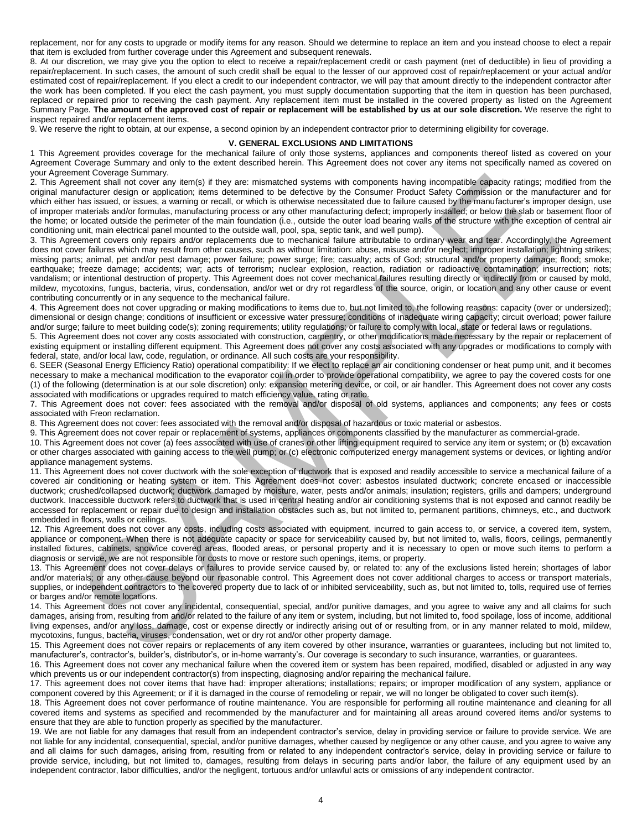replacement, nor for any costs to upgrade or modify items for any reason. Should we determine to replace an item and you instead choose to elect a repair that item is excluded from further coverage under this Agreement and subsequent renewals.

8. At our discretion, we may give you the option to elect to receive a repair/replacement credit or cash payment (net of deductible) in lieu of providing a repair/replacement. In such cases, the amount of such credit shall be equal to the lesser of our approved cost of repair/replacement or your actual and/or estimated cost of repair/replacement. If you elect a credit to our independent contractor, we will pay that amount directly to the independent contractor after the work has been completed. If you elect the cash payment, you must supply documentation supporting that the item in question has been purchased, replaced or repaired prior to receiving the cash payment. Any replacement item must be installed in the covered property as listed on the Agreement Summary Page. **The amount of the approved cost of repair or replacement will be established by us at our sole discretion.** We reserve the right to inspect repaired and/or replacement items.

9. We reserve the right to obtain, at our expense, a second opinion by an independent contractor prior to determining eligibility for coverage.

#### **V. GENERAL EXCLUSIONS AND LIMITATIONS**

1 This Agreement provides coverage for the mechanical failure of only those systems, appliances and components thereof listed as covered on your Agreement Coverage Summary and only to the extent described herein. This Agreement does not cover any items not specifically named as covered on your Agreement Coverage Summary.

2. This Agreement shall not cover any item(s) if they are: mismatched systems with components having incompatible capacity ratings; modified from the original manufacturer design or application; items determined to be defective by the Consumer Product Safety Commission or the manufacturer and for which either has issued, or issues, a warning or recall, or which is otherwise necessitated due to failure caused by the manufacturer's improper design, use of improper materials and/or formulas, manufacturing process or any other manufacturing defect; improperly installed; or below the slab or basement floor of the home; or located outside the perimeter of the main foundation (i.e., outside the outer load bearing walls of the structure with the exception of central air conditioning unit, main electrical panel mounted to the outside wall, pool, spa, septic tank, and well pump).

Sent to the sense of the sense in the sense interest of the components can be a memorial of the sense in the sense in the sense in the sense in the sense in the sense in the sense in the sense in the sense in the sense in 3. This Agreement covers only repairs and/or replacements due to mechanical failure attributable to ordinary wear and tear. Accordingly, the Agreement does not cover failures which may result from other causes, such as without limitation: abuse, misuse and/or neglect; improper installation; lightning strikes; missing parts; animal, pet and/or pest damage; power failure; power surge; fire; casualty; acts of God; structural and/or property damage; flood; smoke; earthquake; freeze damage; accidents; war; acts of terrorism; nuclear explosion, reaction, radiation or radioactive contamination; insurrection; riots; vandalism; or intentional destruction of property. This Agreement does not cover mechanical failures resulting directly or indirectly from or caused by mold, mildew, mycotoxins, fungus, bacteria, virus, condensation, and/or wet or dry rot regardless of the source, origin, or location and any other cause or event contributing concurrently or in any sequence to the mechanical failure.

4. This Agreement does not cover upgrading or making modifications to items due to, but not limited to, the following reasons: capacity (over or undersized); dimensional or design change; conditions of insufficient or excessive water pressure; conditions of inadequate wiring capacity; circuit overload; power failure and/or surge; failure to meet building code(s); zoning requirements; utility regulations; or failure to comply with local, state or federal laws or regulations.

5. This Agreement does not cover any costs associated with construction, carpentry, or other modifications made necessary by the repair or replacement of existing equipment or installing different equipment. This Agreement does not cover any costs associated with any upgrades or modifications to comply with federal, state, and/or local law, code, regulation, or ordinance. All such costs are your responsibility.

6. SEER (Seasonal Energy Efficiency Ratio) operational compatibility: If we elect to replace an air conditioning condenser or heat pump unit, and it becomes necessary to make a mechanical modification to the evaporator coil in order to provide operational compatibility, we agree to pay the covered costs for one (1) of the following (determination is at our sole discretion) only: expansion metering device, or coil, or air handler. This Agreement does not cover any costs associated with modifications or upgrades required to match efficiency value, rating or ratio.

7. This Agreement does not cover: fees associated with the removal and/or disposal of old systems, appliances and components; any fees or costs associated with Freon reclamation.

8. This Agreement does not cover: fees associated with the removal and/or disposal of hazardous or toxic material or asbestos.

9. This Agreement does not cover repair or replacement of systems, appliances or components classified by the manufacturer as commercial-grade.

10. This Agreement does not cover (a) fees associated with use of cranes or other lifting equipment required to service any item or system; or (b) excavation or other charges associated with gaining access to the well pump; or (c) electronic computerized energy management systems or devices, or lighting and/or appliance management systems.

11. This Agreement does not cover ductwork with the sole exception of ductwork that is exposed and readily accessible to service a mechanical failure of a covered air conditioning or heating system or item. This Agreement does not cover: asbestos insulated ductwork; concrete encased or inaccessible ductwork; crushed/collapsed ductwork; ductwork damaged by moisture, water, pests and/or animals; insulation; registers, grills and dampers; underground ductwork. Inaccessible ductwork refers to ductwork that is used in central heating and/or air conditioning systems that is not exposed and cannot readily be accessed for replacement or repair due to design and installation obstacles such as, but not limited to, permanent partitions, chimneys, etc., and ductwork embedded in floors, walls or ceilings.

12. This Agreement does not cover any costs, including costs associated with equipment, incurred to gain access to, or service, a covered item, system, appliance or component. When there is not adequate capacity or space for serviceability caused by, but not limited to, walls, floors, ceilings, permanently installed fixtures, cabinets, snow/ice covered areas, flooded areas, or personal property and it is necessary to open or move such items to perform a diagnosis or service, we are not responsible for costs to move or restore such openings, items, or property.

13. This Agreement does not cover delays or failures to provide service caused by, or related to: any of the exclusions listed herein; shortages of labor and/or materials; or any other cause beyond our reasonable control. This Agreement does not cover additional charges to access or transport materials, supplies, or independent contractors to the covered property due to lack of or inhibited serviceability, such as, but not limited to, tolls, required use of ferries or barges and/or remote locations.

14. This Agreement does not cover any incidental, consequential, special, and/or punitive damages, and you agree to waive any and all claims for such damages, arising from, resulting from and/or related to the failure of any item or system, including, but not limited to, food spoilage, loss of income, additional living expenses, and/or any loss, damage, cost or expense directly or indirectly arising out of or resulting from, or in any manner related to mold, mildew, mycotoxins, fungus, bacteria, viruses, condensation, wet or dry rot and/or other property damage.

15. This Agreement does not cover repairs or replacements of any item covered by other insurance, warranties or guarantees, including but not limited to, manufacturer's, contractor's, builder's, distributor's, or in-home warranty's. Our coverage is secondary to such insurance, warranties, or guarantees.

16. This Agreement does not cover any mechanical failure when the covered item or system has been repaired, modified, disabled or adjusted in any way which prevents us or our independent contractor(s) from inspecting, diagnosing and/or repairing the mechanical failure.

17. This agreement does not cover items that have had: improper alterations; installations; repairs; or improper modification of any system, appliance or component covered by this Agreement; or if it is damaged in the course of remodeling or repair, we will no longer be obligated to cover such item(s).

18. This Agreement does not cover performance of routine maintenance. You are responsible for performing all routine maintenance and cleaning for all covered items and systems as specified and recommended by the manufacturer and for maintaining all areas around covered items and/or systems to ensure that they are able to function properly as specified by the manufacturer.

19. We are not liable for any damages that result from an independent contractor's service, delay in providing service or failure to provide service. We are not liable for any incidental, consequential, special, and/or punitive damages, whether caused by negligence or any other cause, and you agree to waive any and all claims for such damages, arising from, resulting from or related to any independent contractor's service, delay in providing service or failure to provide service, including, but not limited to, damages, resulting from delays in securing parts and/or labor, the failure of any equipment used by an independent contractor, labor difficulties, and/or the negligent, tortuous and/or unlawful acts or omissions of any independent contractor.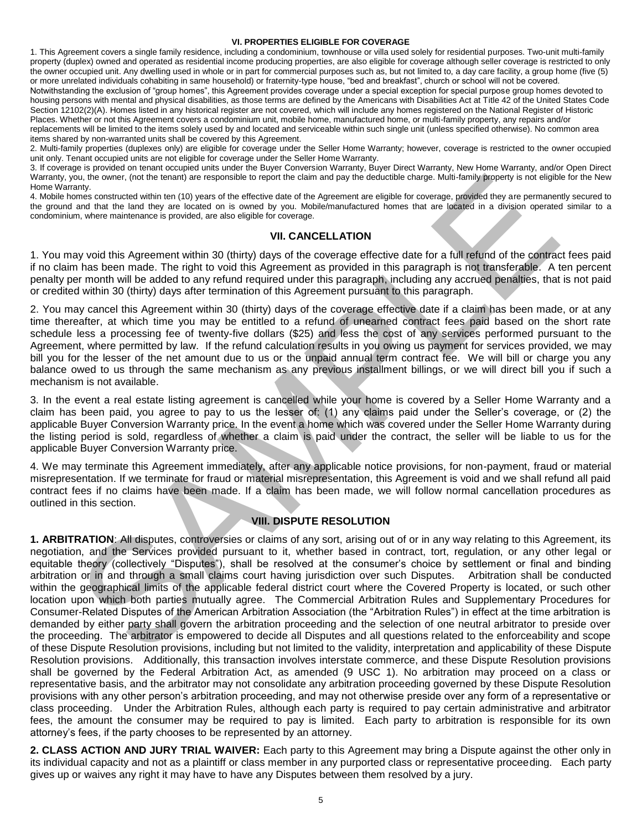#### **VI. PROPERTIES ELIGIBLE FOR COVERAGE**

1. This Agreement covers a single family residence, including a condominium, townhouse or villa used solely for residential purposes. Two-unit multi-family property (duplex) owned and operated as residential income producing properties, are also eligible for coverage although seller coverage is restricted to only the owner occupied unit. Any dwelling used in whole or in part for commercial purposes such as, but not limited to, a day care facility, a group home (five (5) or more unrelated individuals cohabiting in same household) or fraternity-type house, "bed and breakfast", church or school will not be covered.

Notwithstanding the exclusion of "group homes", this Agreement provides coverage under a special exception for special purpose group homes devoted to housing persons with mental and physical disabilities, as those terms are defined by the Americans with Disabilities Act at Title 42 of the United States Code Section 12102(2)(A). Homes listed in any historical register are not covered, which will include any homes registered on the National Register of Historic Places. Whether or not this Agreement covers a condominium unit, mobile home, manufactured home, or multi-family property, any repairs and/or replacements will be limited to the items solely used by and located and serviceable within such single unit (unless specified otherwise). No common area items shared by non-warranted units shall be covered by this Agreement.

2. Multi-family properties (duplexes only) are eligible for coverage under the Seller Home Warranty; however, coverage is restricted to the owner occupied unit only. Tenant occupied units are not eligible for coverage under the Seller Home Warranty.

3. If coverage is provided on tenant occupied units under the Buyer Conversion Warranty, Buyer Direct Warranty, New Home Warranty, and/or Open Direct Warranty, you, the owner, (not the tenant) are responsible to report the claim and pay the deductible charge. Multi-family property is not eligible for the New Home Warranty.

4. Mobile homes constructed within ten (10) years of the effective date of the Agreement are eligible for coverage, provided they are permanently secured to the ground and that the land they are located on is owned by you. Mobile/manufactured homes that are located in a division operated similar to a condominium, where maintenance is provided, are also eligible for coverage.

#### **VII. CANCELLATION**

1. You may void this Agreement within 30 (thirty) days of the coverage effective date for a full refund of the contract fees paid if no claim has been made. The right to void this Agreement as provided in this paragraph is not transferable. A ten percent penalty per month will be added to any refund required under this paragraph, including any accrued penalties, that is not paid or credited within 30 (thirty) days after termination of this Agreement pursuant to this paragraph.

2. You may cancel this Agreement within 30 (thirty) days of the coverage effective date if a claim has been made, or at any time thereafter, at which time you may be entitled to a refund of unearned contract fees paid based on the short rate schedule less a processing fee of twenty-five dollars (\$25) and less the cost of any services performed pursuant to the Agreement, where permitted by law. If the refund calculation results in you owing us payment for services provided, we may bill you for the lesser of the net amount due to us or the unpaid annual term contract fee. We will bill or charge you any balance owed to us through the same mechanism as any previous installment billings, or we will direct bill you if such a mechanism is not available.

3. In the event a real estate listing agreement is cancelled while your home is covered by a Seller Home Warranty and a claim has been paid, you agree to pay to us the lesser of: (1) any claims paid under the Seller's coverage, or (2) the applicable Buyer Conversion Warranty price. In the event a home which was covered under the Seller Home Warranty during the listing period is sold, regardless of whether a claim is paid under the contract, the seller will be liable to us for the applicable Buyer Conversion Warranty price.

4. We may terminate this Agreement immediately, after any applicable notice provisions, for non-payment, fraud or material misrepresentation. If we terminate for fraud or material misrepresentation, this Agreement is void and we shall refund all paid contract fees if no claims have been made. If a claim has been made, we will follow normal cancellation procedures as outlined in this section.

# **VIII. DISPUTE RESOLUTION**

Su, the consert of the terminal are resonable to rejoin the cain and pay thi disdiction they also then the terminal are the studients and the terminal are the studients and the terminal are the terminal at the terminal are **1. ARBITRATION**: All disputes, controversies or claims of any sort, arising out of or in any way relating to this Agreement, its negotiation, and the Services provided pursuant to it, whether based in contract, tort, regulation, or any other legal or equitable theory (collectively "Disputes"), shall be resolved at the consumer's choice by settlement or final and binding arbitration or in and through a small claims court having jurisdiction over such Disputes. Arbitration shall be conducted within the geographical limits of the applicable federal district court where the Covered Property is located, or such other location upon which both parties mutually agree. The Commercial Arbitration Rules and Supplementary Procedures for Consumer-Related Disputes of the American Arbitration Association (the "Arbitration Rules") in effect at the time arbitration is demanded by either party shall govern the arbitration proceeding and the selection of one neutral arbitrator to preside over the proceeding. The arbitrator is empowered to decide all Disputes and all questions related to the enforceability and scope of these Dispute Resolution provisions, including but not limited to the validity, interpretation and applicability of these Dispute Resolution provisions. Additionally, this transaction involves interstate commerce, and these Dispute Resolution provisions shall be governed by the Federal Arbitration Act, as amended (9 USC 1). No arbitration may proceed on a class or representative basis, and the arbitrator may not consolidate any arbitration proceeding governed by these Dispute Resolution provisions with any other person's arbitration proceeding, and may not otherwise preside over any form of a representative or class proceeding. Under the Arbitration Rules, although each party is required to pay certain administrative and arbitrator fees, the amount the consumer may be required to pay is limited. Each party to arbitration is responsible for its own attorney's fees, if the party chooses to be represented by an attorney.

**2. CLASS ACTION AND JURY TRIAL WAIVER:** Each party to this Agreement may bring a Dispute against the other only in its individual capacity and not as a plaintiff or class member in any purported class or representative proceeding. Each party gives up or waives any right it may have to have any Disputes between them resolved by a jury.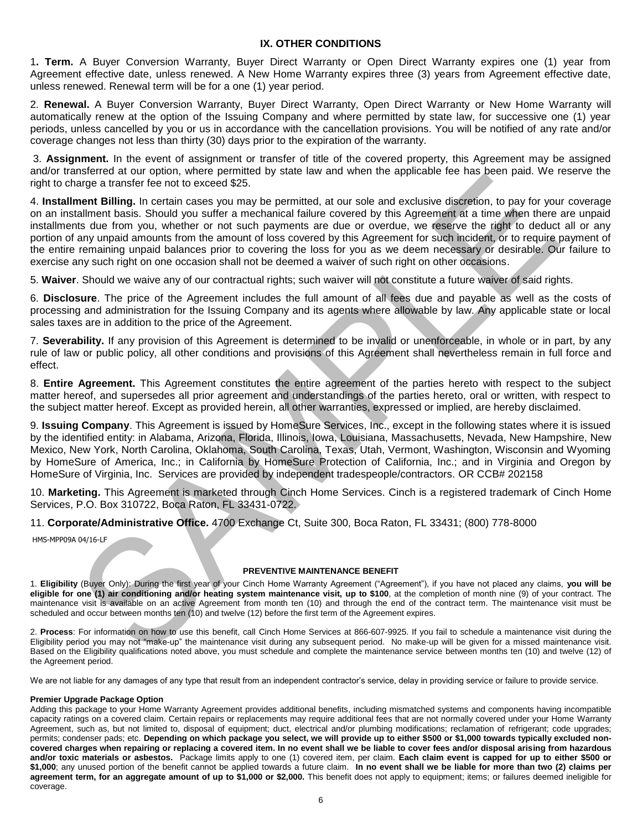# **IX. OTHER CONDITIONS**

1**. Term.** A Buyer Conversion Warranty, Buyer Direct Warranty or Open Direct Warranty expires one (1) year from Agreement effective date, unless renewed. A New Home Warranty expires three (3) years from Agreement effective date, unless renewed. Renewal term will be for a one (1) year period.

2. **Renewal.** A Buyer Conversion Warranty, Buyer Direct Warranty, Open Direct Warranty or New Home Warranty will automatically renew at the option of the Issuing Company and where permitted by state law, for successive one (1) year periods, unless cancelled by you or us in accordance with the cancellation provisions. You will be notified of any rate and/or coverage changes not less than thirty (30) days prior to the expiration of the warranty.

 3. **Assignment.** In the event of assignment or transfer of title of the covered property, this Agreement may be assigned and/or transferred at our option, where permitted by state law and when the applicable fee has been paid. We reserve the right to charge a transfer fee not to exceed \$25.

nshare at correlation of the particle and the same and the same of the particle and the particle and the same of the same of the same of the same of the same of the same of the same of the same of the same of the same of t 4. **Installment Billing.** In certain cases you may be permitted, at our sole and exclusive discretion, to pay for your coverage on an installment basis. Should you suffer a mechanical failure covered by this Agreement at a time when there are unpaid installments due from you, whether or not such payments are due or overdue, we reserve the right to deduct all or any portion of any unpaid amounts from the amount of loss covered by this Agreement for such incident, or to require payment of the entire remaining unpaid balances prior to covering the loss for you as we deem necessary or desirable. Our failure to exercise any such right on one occasion shall not be deemed a waiver of such right on other occasions.

5. **Waiver**. Should we waive any of our contractual rights; such waiver will not constitute a future waiver of said rights.

6. **Disclosure**. The price of the Agreement includes the full amount of all fees due and payable as well as the costs of processing and administration for the Issuing Company and its agents where allowable by law. Any applicable state or local sales taxes are in addition to the price of the Agreement.

7. **Severability.** If any provision of this Agreement is determined to be invalid or unenforceable, in whole or in part, by any rule of law or public policy, all other conditions and provisions of this Agreement shall nevertheless remain in full force and effect.

8. **Entire Agreement.** This Agreement constitutes the entire agreement of the parties hereto with respect to the subject matter hereof, and supersedes all prior agreement and understandings of the parties hereto, oral or written, with respect to the subject matter hereof. Except as provided herein, all other warranties, expressed or implied, are hereby disclaimed.

9. **Issuing Company**. This Agreement is issued by HomeSure Services, Inc., except in the following states where it is issued by the identified entity: in Alabama, Arizona, Florida, Illinois, Iowa, Louisiana, Massachusetts, Nevada, New Hampshire, New Mexico, New York, North Carolina, Oklahoma, South Carolina, Texas, Utah, Vermont, Washington, Wisconsin and Wyoming by HomeSure of America, Inc.; in California by HomeSure Protection of California, Inc.; and in Virginia and Oregon by HomeSure of Virginia, Inc. Services are provided by independent tradespeople/contractors. OR CCB# 202158

10. **Marketing.** This Agreement is marketed through Cinch Home Services. Cinch is a registered trademark of Cinch Home Services, P.O. Box 310722, Boca Raton, FL 33431-0722.

11. **Corporate/Administrative Office.** 4700 Exchange Ct, Suite 300, Boca Raton, FL 33431; (800) 778-8000

HMS-MPP09A 04/16-LF

#### **PREVENTIVE MAINTENANCE BENEFIT**

1. **Eligibility** (Buyer Only): During the first year of your Cinch Home Warranty Agreement ("Agreement"), if you have not placed any claims, **you will be eligible for one (1) air conditioning and/or heating system maintenance visit, up to \$100**, at the completion of month nine (9) of your contract. The maintenance visit is available on an active Agreement from month ten (10) and through the end of the contract term. The maintenance visit must be scheduled and occur between months ten (10) and twelve (12) before the first term of the Agreement expires.

2. **Process**: For information on how to use this benefit, call Cinch Home Services at 866-607-9925. If you fail to schedule a maintenance visit during the Eligibility period you may not "make-up" the maintenance visit during any subsequent period. No make-up will be given for a missed maintenance visit. Based on the Eligibility qualifications noted above, you must schedule and complete the maintenance service between months ten (10) and twelve (12) of the Agreement period.

We are not liable for any damages of any type that result from an independent contractor's service, delay in providing service or failure to provide service.

#### **Premier Upgrade Package Option**

Adding this package to your Home Warranty Agreement provides additional benefits, including mismatched systems and components having incompatible capacity ratings on a covered claim. Certain repairs or replacements may require additional fees that are not normally covered under your Home Warranty Agreement, such as, but not limited to, disposal of equipment; duct, electrical and/or plumbing modifications; reclamation of refrigerant; code upgrades; permits; condenser pads; etc. **Depending on which package you select, we will provide up to either \$500 or \$1,000 towards typically excluded noncovered charges when repairing or replacing a covered item. In no event shall we be liable to cover fees and/or disposal arising from hazardous and/or toxic materials or asbestos.** Package limits apply to one (1) covered item, per claim. **Each claim event is capped for up to either \$500 or \$1,000**; any unused portion of the benefit cannot be applied towards a future claim. **In no event shall we be liable for more than two (2) claims per agreement term, for an aggregate amount of up to \$1,000 or \$2,000.** This benefit does not apply to equipment; items; or failures deemed ineligible for coverage.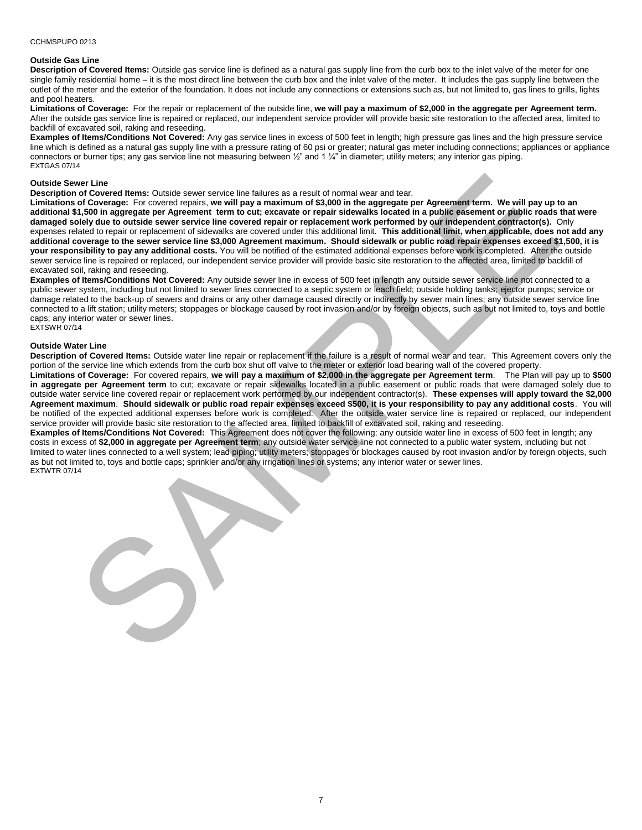#### CCHMSPUPO 0213

#### **Outside Gas Line**

**Description of Covered Items:** Outside gas service line is defined as a natural gas supply line from the curb box to the inlet valve of the meter for one single family residential home – it is the most direct line between the curb box and the inlet valve of the meter. It includes the gas supply line between the outlet of the meter and the exterior of the foundation. It does not include any connections or extensions such as, but not limited to, gas lines to grills, lights and pool heaters.

**Limitations of Coverage:** For the repair or replacement of the outside line, **we will pay a maximum of \$2,000 in the aggregate per Agreement term.** After the outside gas service line is repaired or replaced, our independent service provider will provide basic site restoration to the affected area, limited to backfill of excavated soil, raking and reseeding.

**Examples of Items/Conditions Not Covered:** Any gas service lines in excess of 500 feet in length; high pressure gas lines and the high pressure service line which is defined as a natural gas supply line with a pressure rating of 60 psi or greater; natural gas meter including connections; appliances or appliance connectors or burner tips; any gas service line not measuring between 1/2" and 1 1/4" in diameter; utility meters; any interior gas piping. EXTGAS 07/14

#### **Outside Sewer Line**

**Description of Covered Items:** Outside sewer service line failures as a result of normal wear and tear.

we the based term covered training on a small of ormal was an out of ormal was and state of the covered training of a collection of the state of the state of the state of the state of the state of the state of the state of **Limitations of Coverage:** For covered repairs, **we will pay a maximum of \$3,000 in the aggregate per Agreement term. We will pay up to an additional \$1,500 in aggregate per Agreement term to cut; excavate or repair sidewalks located in a public easement or public roads that were damaged solely due to outside sewer service line covered repair or replacement work performed by our independent contractor(s).** Only expenses related to repair or replacement of sidewalks are covered under this additional limit. **This additional limit, when applicable, does not add any additional coverage to the sewer service line \$3,000 Agreement maximum. Should sidewalk or public road repair expenses exceed \$1,500, it is your responsibility to pay any additional costs.** You will be notified of the estimated additional expenses before work is completed. After the outside sewer service line is repaired or replaced, our independent service provider will provide basic site restoration to the affected area, limited to backfill of excavated soil, raking and reseeding.

**Examples of Items/Conditions Not Covered:** Any outside sewer line in excess of 500 feet in length any outside sewer service line not connected to a public sewer system, including but not limited to sewer lines connected to a septic system or leach field; outside holding tanks; ejector pumps; service or damage related to the back-up of sewers and drains or any other damage caused directly or indirectly by sewer main lines; any outside sewer service line connected to a lift station; utility meters; stoppages or blockage caused by root invasion and/or by foreign objects, such as but not limited to, toys and bottle caps; any interior water or sewer lines. EXTSWR 07/14

#### **Outside Water Line**

**Description of Covered Items:** Outside water line repair or replacement if the failure is a result of normal wear and tear. This Agreement covers only the portion of the service line which extends from the curb box shut off valve to the meter or exterior load bearing wall of the covered property.

**Limitations of Coverage:** For covered repairs, **we will pay a maximum of \$2,000 in the aggregate per Agreement term**. The Plan will pay up to **\$500 in aggregate per Agreement term** to cut; excavate or repair sidewalks located in a public easement or public roads that were damaged solely due to outside water service line covered repair or replacement work performed by our independent contractor(s). **These expenses will apply toward the \$2,000 Agreement maximum**. **Should sidewalk or public road repair expenses exceed \$500, it is your responsibility to pay any additional costs**. You will be notified of the expected additional expenses before work is completed. After the outside water service line is repaired or replaced, our independent service provider will provide basic site restoration to the affected area, limited to backfill of excavated soil, raking and reseeding.

**Examples of Items/Conditions Not Covered:** This Agreement does not cover the following: any outside water line in excess of 500 feet in length; any costs in excess of **\$2,000 in aggregate per Agreement term**; any outside water service line not connected to a public water system, including but not limited to water lines connected to a well system; lead piping; utility meters; stoppages or blockages caused by root invasion and/or by foreign objects, such as but not limited to, toys and bottle caps; sprinkler and/or any irrigation lines or systems; any interior water or sewer lines. EXTWTR 07/14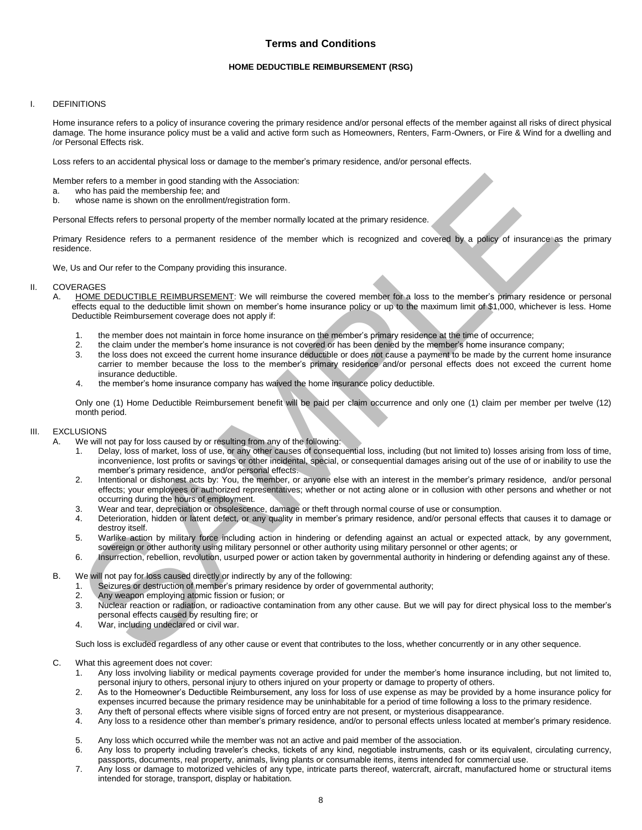# **Terms and Conditions**

#### **HOME DEDUCTIBLE REIMBURSEMENT (RSG)**

#### I. DEFINITIONS

 Home insurance refers to a policy of insurance covering the primary residence and/or personal effects of the member against all risks of direct physical damage. The home insurance policy must be a valid and active form such as Homeowners, Renters, Farm-Owners, or Fire & Wind for a dwelling and /or Personal Effects risk.

Loss refers to an accidental physical loss or damage to the member's primary residence, and/or personal effects.

Member refers to a member in good standing with the Association:

- a. who has paid the membership fee; and
- b. whose name is shown on the enrollment/registration form.

Personal Effects refers to personal property of the member normally located at the primary residence.

 Primary Residence refers to a permanent residence of the member which is recognized and covered by a policy of insurance as the primary residence.

We, Us and Our refer to the Company providing this insurance.

# II. COVERAGES<br>A. HOME D

- A. HOME DEDUCTIBLE REIMBURSEMENT: We will reimburse the covered member for a loss to the member's primary residence or personal effects equal to the deductible limit shown on member's home insurance policy or up to the maximum limit of \$1,000, whichever is less. Home Deductible Reimbursement coverage does not apply if:
	- 1. the member does not maintain in force home insurance on the member's primary residence at the time of occurrence;
	- 2. the claim under the member's home insurance is not covered or has been denied by the member's home insurance company;
	- 3. the loss does not exceed the current home insurance deductible or does not cause a payment to be made by the current home insurance carrier to member because the loss to the member's primary residence and/or personal effects does not exceed the current home insurance deductible.
	- 4. the member's home insurance company has waived the home insurance policy deductible.

 Only one (1) Home Deductible Reimbursement benefit will be paid per claim occurrence and only one (1) claim per member per twelve (12) month period.

#### III. EXCLUSIONS

- A. We will not pay for loss caused by or resulting from any of the following:
	- 1. Delay, loss of market, loss of use, or any other causes of consequential loss, including (but not limited to) losses arising from loss of time, inconvenience, lost profits or savings or other incidental, special, or consequential damages arising out of the use of or inability to use the member's primary residence, and/or personal effects.
- er interest to a member in point standing with the Association:<br>
who has paid the nerroberatio len, and<br>
who has paid the nerroberatio len, and<br>
who has paid the correction of a member formation formation format with the s 2. Intentional or dishonest acts by: You, the member, or anyone else with an interest in the member's primary residence, and/or personal effects; your employees or authorized representatives; whether or not acting alone or in collusion with other persons and whether or not occurring during the hours of employment.
	- 3. Wear and tear, depreciation or obsolescence, damage or theft through normal course of use or consumption.
	- 4. Deterioration, hidden or latent defect, or any quality in member's primary residence, and/or personal effects that causes it to damage or destroy itself.
	- 5. Warlike action by military force including action in hindering or defending against an actual or expected attack, by any government, sovereign or other authority using military personnel or other authority using military personnel or other agents; or
	- 6. Insurrection, rebellion, revolution, usurped power or action taken by governmental authority in hindering or defending against any of these.
- B. We will not pay for loss caused directly or indirectly by any of the following:
	- 1. Seizures or destruction of member's primary residence by order of governmental authority;
	- 2. Any weapon employing atomic fission or fusion; or
	- 3. Nuclear reaction or radiation, or radioactive contamination from any other cause. But we will pay for direct physical loss to the member's personal effects caused by resulting fire; or
	- 4. War, including undeclared or civil war.

Such loss is excluded regardless of any other cause or event that contributes to the loss, whether concurrently or in any other sequence.

- C. What this agreement does not cover:
	- 1. Any loss involving liability or medical payments coverage provided for under the member's home insurance including, but not limited to, personal injury to others, personal injury to others injured on your property or damage to property of others.
	- 2. As to the Homeowner's Deductible Reimbursement, any loss for loss of use expense as may be provided by a home insurance policy for expenses incurred because the primary residence may be uninhabitable for a period of time following a loss to the primary residence.
	- 3. Any theft of personal effects where visible signs of forced entry are not present, or mysterious disappearance.
	- 4. Any loss to a residence other than member's primary residence, and/or to personal effects unless located at member's primary residence.
	- 5. Any loss which occurred while the member was not an active and paid member of the association.
	- 6. Any loss to property including traveler's checks, tickets of any kind, negotiable instruments, cash or its equivalent, circulating currency, passports, documents, real property, animals, living plants or consumable items, items intended for commercial use.
	- 7. Any loss or damage to motorized vehicles of any type, intricate parts thereof, watercraft, aircraft, manufactured home or structural items intended for storage, transport, display or habitation.